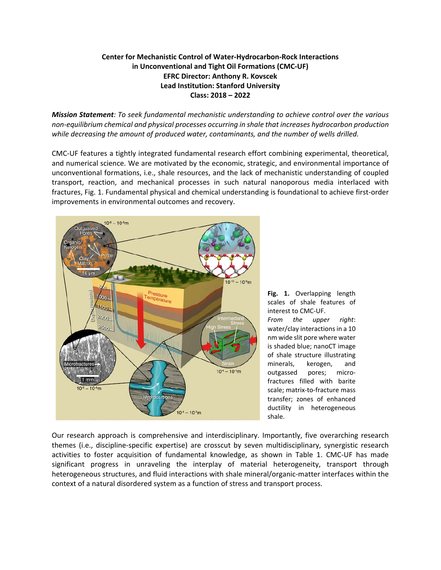## **Center for Mechanistic Control of Water-Hydrocarbon-Rock Interactions in Unconventional and Tight Oil Formations (CMC-UF) EFRC Director: Anthony R. Kovscek Lead Institution: Stanford University Class: 2018 – 2022**

*Mission Statement: To seek fundamental mechanistic understanding to achieve control over the various non-equilibrium chemical and physical processes occurring in shale that increases hydrocarbon production while decreasing the amount of produced water, contaminants, and the number of wells drilled.*

CMC-UF features a tightly integrated fundamental research effort combining experimental, theoretical, and numerical science. We are motivated by the economic, strategic, and environmental importance of unconventional formations, i.e., shale resources, and the lack of mechanistic understanding of coupled transport, reaction, and mechanical processes in such natural nanoporous media interlaced with fractures, Fig. 1. Fundamental physical and chemical understanding is foundational to achieve first-order improvements in environmental outcomes and recovery.



**Fig. 1.** Overlapping length scales of shale features of interest to CMC-UF. *From the upper right*: water/clay interactions in a 10 nm wide slit pore where water is shaded blue; nanoCT image of shale structure illustrating minerals, kerogen, and outgassed pores; microfractures filled with barite scale; matrix-to-fracture mass transfer; zones of enhanced ductility in heterogeneous

shale.

Our research approach is comprehensive and interdisciplinary. Importantly, five overarching research themes (i.e., discipline-specific expertise) are crosscut by seven multidisciplinary, synergistic research activities to foster acquisition of fundamental knowledge, as shown in Table 1. CMC-UF has made significant progress in unraveling the interplay of material heterogeneity, transport through heterogeneous structures, and fluid interactions with shale mineral/organic-matter interfaces within the context of a natural disordered system as a function of stress and transport process.